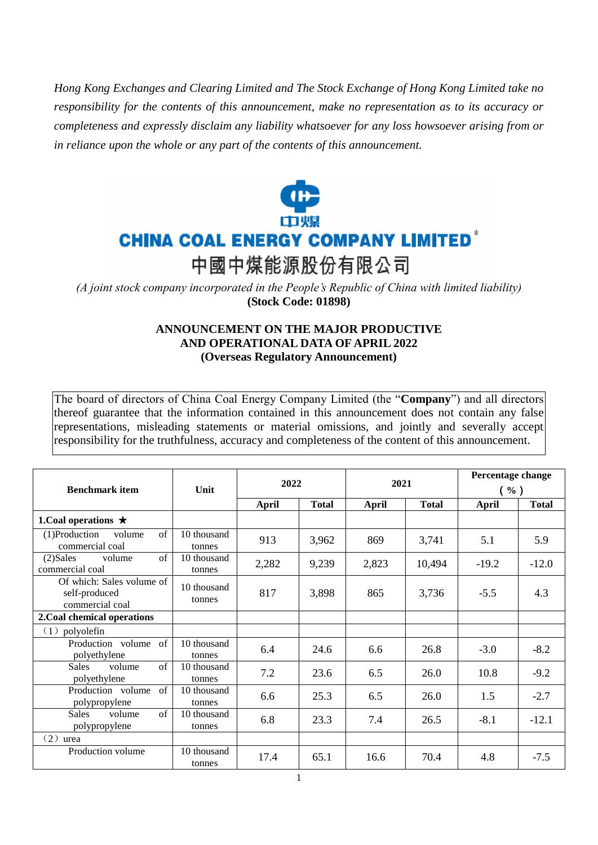*Hong Kong Exchanges and Clearing Limited and The Stock Exchange of Hong Kong Limited take no responsibility for the contents of this announcement, make no representation as to its accuracy or completeness and expressly disclaim any liability whatsoever for any loss howsoever arising from or in reliance upon the whole or any part of the contents of this announcement.*



*(A joint stock company incorporated in the People's Republic of China with limited liability)*  **(Stock Code: 01898)**

## **ANNOUNCEMENT ON THE MAJOR PRODUCTIVE AND OPERATIONAL DATA OF APRIL 2022 (Overseas Regulatory Announcement)**

The board of directors of China Coal Energy Company Limited (the "**Company**") and all directors thereof guarantee that the information contained in this announcement does not contain any false representations, misleading statements or material omissions, and jointly and severally accept responsibility for the truthfulness, accuracy and completeness of the content of this announcement.

| <b>Benchmark item</b>                                         | Unit                  | 2022         |              | 2021  |              | Percentage change<br>$($ %) |              |
|---------------------------------------------------------------|-----------------------|--------------|--------------|-------|--------------|-----------------------------|--------------|
|                                                               |                       | <b>April</b> | <b>Total</b> | April | <b>Total</b> | <b>April</b>                | <b>Total</b> |
| 1. Coal operations $\star$                                    |                       |              |              |       |              |                             |              |
| $\sigma$ f<br>$(1)$ Production<br>volume<br>commercial coal   | 10 thousand<br>tonnes | 913          | 3,962        | 869   | 3,741        | 5.1                         | 5.9          |
| $\sigma$ f<br>$(2)$ Sales<br>volume<br>commercial coal        | 10 thousand<br>tonnes | 2,282        | 9,239        | 2,823 | 10,494       | $-19.2$                     | $-12.0$      |
| Of which: Sales volume of<br>self-produced<br>commercial coal | 10 thousand<br>tonnes | 817          | 3,898        | 865   | 3,736        | $-5.5$                      | 4.3          |
| 2. Coal chemical operations                                   |                       |              |              |       |              |                             |              |
| (1)<br>polyolefin                                             |                       |              |              |       |              |                             |              |
| Production volume<br>of<br>polyethylene                       | 10 thousand<br>tonnes | 6.4          | 24.6         | 6.6   | 26.8         | $-3.0$                      | $-8.2$       |
| $\sigma$ f<br><b>Sales</b><br>volume<br>polyethylene          | 10 thousand<br>tonnes | 7.2          | 23.6         | 6.5   | 26.0         | 10.8                        | $-9.2$       |
| of<br>Production volume<br>polypropylene                      | 10 thousand<br>tonnes | 6.6          | 25.3         | 6.5   | 26.0         | 1.5                         | $-2.7$       |
| $\sigma$ f<br><b>Sales</b><br>volume<br>polypropylene         | 10 thousand<br>tonnes | 6.8          | 23.3         | 7.4   | 26.5         | $-8.1$                      | $-12.1$      |
| (2)<br>urea                                                   |                       |              |              |       |              |                             |              |
| Production volume                                             | 10 thousand<br>tonnes | 17.4         | 65.1         | 16.6  | 70.4         | 4.8                         | $-7.5$       |